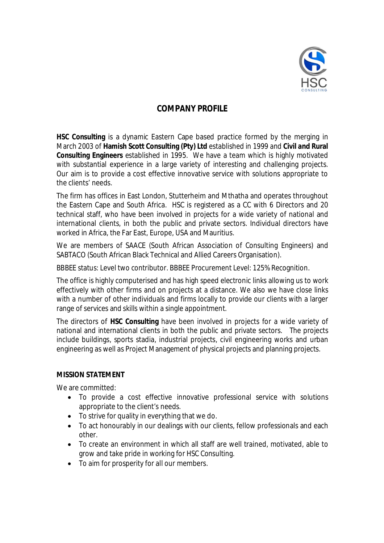

# **COMPANY PROFILE**

**HSC Consulting** is a dynamic Eastern Cape based practice formed by the merging in March 2003 of **Hamish Scott Consulting (Pty) Ltd** established in 1999 and **Civil and Rural Consulting Engineers** established in 1995. We have a team which is highly motivated with substantial experience in a large variety of interesting and challenging projects. Our aim is to provide a cost effective innovative service with solutions appropriate to the clients' needs.

The firm has offices in East London, Stutterheim and Mthatha and operates throughout the Eastern Cape and South Africa. HSC is registered as a CC with 6 Directors and 20 technical staff, who have been involved in projects for a wide variety of national and international clients, in both the public and private sectors. Individual directors have worked in Africa, the Far East, Europe, USA and Mauritius.

We are members of SAACE (South African Association of Consulting Engineers) and SABTACO (South African Black Technical and Allied Careers Organisation).

BBBEE status: Level two contributor. BBBEE Procurement Level: 125% Recognition.

The office is highly computerised and has high speed electronic links allowing us to work effectively with other firms and on projects at a distance. We also we have close links with a number of other individuals and firms locally to provide our clients with a larger range of services and skills within a single appointment.

The directors of **HSC Consulting** have been involved in projects for a wide variety of national and international clients in both the public and private sectors. The projects include buildings, sports stadia, industrial projects, civil engineering works and urban engineering as well as Project Management of physical projects and planning projects.

#### **MISSION STATEMENT**

We are committed:

- To provide a cost effective innovative professional service with solutions appropriate to the client's needs.
- To strive for quality in everything that we do.
- To act honourably in our dealings with our clients, fellow professionals and each other.
- To create an environment in which all staff are well trained, motivated, able to grow and take pride in working for HSC Consulting.
- To aim for prosperity for all our members.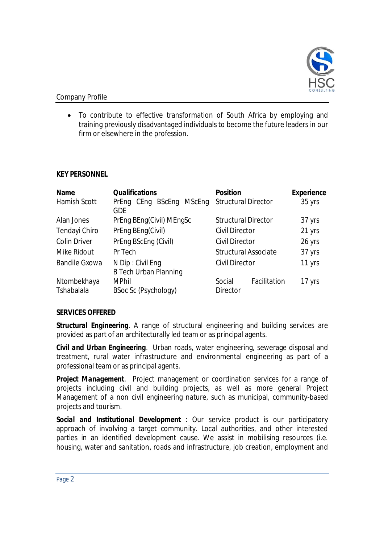

## Company Profile

 To contribute to effective transformation of South Africa by employing and training previously disadvantaged individuals to become the future leaders in our firm or elsewhere in the profession.

### **KEY PERSONNEL**

| <b>Name</b>          | <b>Qualifications</b>                            | <b>Position</b>             | <b>Experience</b> |
|----------------------|--------------------------------------------------|-----------------------------|-------------------|
| Hamish Scott         | CEng BScEng<br>MScEng<br>PrEng<br><b>GDE</b>     | <b>Structural Director</b>  | 35 yrs            |
| Alan Jones           | PrEng BEng(Civil) MEngSc                         | <b>Structural Director</b>  | 37 yrs            |
| Tendayi Chiro        | PrEng BEng(Civil)                                | <b>Civil Director</b>       | 21 yrs            |
| <b>Colin Driver</b>  | PrEng BScEng (Civil)                             | <b>Civil Director</b>       | 26 yrs            |
| Mike Ridout          | Pr Tech                                          | <b>Structural Associate</b> | 37 yrs            |
| <b>Bandile Gxowa</b> | N Dip: Civil Eng<br><b>B Tech Urban Planning</b> | <b>Civil Director</b>       | 11 yrs            |
| Ntombekhaya          | <b>MPhil</b>                                     | Facilitation<br>Social      | 17 yrs            |
| Tshabalala           | BSoc Sc (Psychology)                             | <b>Director</b>             |                   |

# **SERVICES OFFERED**

**Structural Engineering**. A range of structural engineering and building services are provided as part of an architecturally led team or as principal agents.

*Civil and Urban Engineering*. Urban roads, water engineering, sewerage disposal and treatment, rural water infrastructure and environmental engineering as part of a professional team or as principal agents.

*Project Management*. Project management or coordination services for a range of projects including civil and building projects, as well as more general Project Management of a non civil engineering nature, such as municipal, community-based projects and tourism.

*Social and Institutional Development* : Our service product is our participatory approach of involving a target community. Local authorities, and other interested parties in an identified development cause. We assist in mobilising resources (i.e. housing, water and sanitation, roads and infrastructure, job creation, employment and